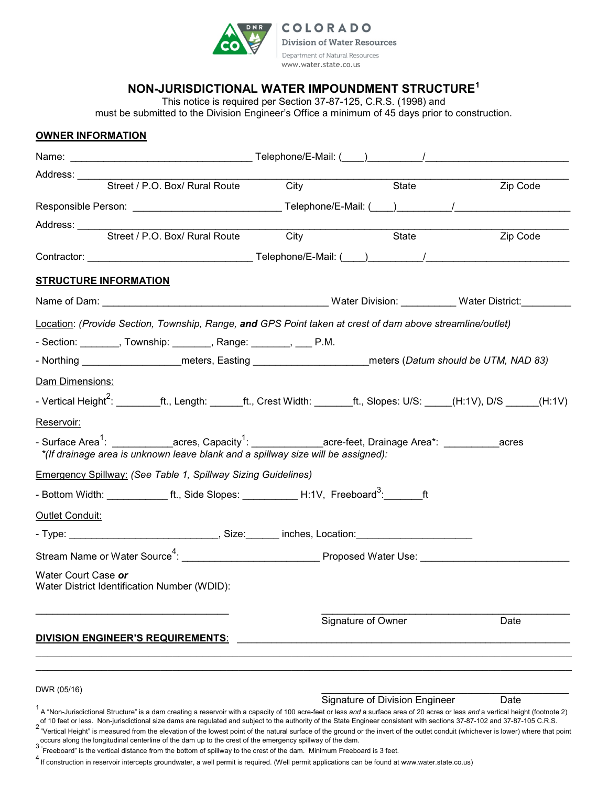

**COLORADO Division of Water Resources** Department of Natural Resources www.water.state.co.us

## **NON-JURISDICTIONAL WATER IMPOUNDMENT STRUCTURE<sup>1</sup>**

This notice is required per Section 37-87-125, C.R.S. (1998) and must be submitted to the Division Engineer's Office a minimum of 45 days prior to construction.

## **OWNER INFORMATION**

| Street / P.O. Box/ Rural Route                                                                                                                                                                                                                                                                                                                                                                                                                                                                                                                                     | City | State                                 | Zip Code |
|--------------------------------------------------------------------------------------------------------------------------------------------------------------------------------------------------------------------------------------------------------------------------------------------------------------------------------------------------------------------------------------------------------------------------------------------------------------------------------------------------------------------------------------------------------------------|------|---------------------------------------|----------|
| Responsible Person: ___________________________________Telephone/E-Mail: (____)___________/___________________                                                                                                                                                                                                                                                                                                                                                                                                                                                     |      |                                       |          |
| Address: ______<br>Street / P.O. Box/ Rural Route City                                                                                                                                                                                                                                                                                                                                                                                                                                                                                                             |      | State                                 | Zip Code |
|                                                                                                                                                                                                                                                                                                                                                                                                                                                                                                                                                                    |      |                                       |          |
|                                                                                                                                                                                                                                                                                                                                                                                                                                                                                                                                                                    |      |                                       |          |
| <b>STRUCTURE INFORMATION</b>                                                                                                                                                                                                                                                                                                                                                                                                                                                                                                                                       |      |                                       |          |
|                                                                                                                                                                                                                                                                                                                                                                                                                                                                                                                                                                    |      |                                       |          |
| Location: (Provide Section, Township, Range, and GPS Point taken at crest of dam above streamline/outlet)                                                                                                                                                                                                                                                                                                                                                                                                                                                          |      |                                       |          |
| - Section: ________, Township: _______, Range: _______, ___ P.M.                                                                                                                                                                                                                                                                                                                                                                                                                                                                                                   |      |                                       |          |
| - Northing __________________________meters, Easting ____________________________meters (Datum should be UTM, NAD 83)                                                                                                                                                                                                                                                                                                                                                                                                                                              |      |                                       |          |
| Dam Dimensions:                                                                                                                                                                                                                                                                                                                                                                                                                                                                                                                                                    |      |                                       |          |
| - Vertical Height <sup>2</sup> : _________ft., Length: _______ft., Crest Width: ________ft., Slopes: U/S: _____(H:1V), D/S ______(H:1V)                                                                                                                                                                                                                                                                                                                                                                                                                            |      |                                       |          |
| Reservoir:                                                                                                                                                                                                                                                                                                                                                                                                                                                                                                                                                         |      |                                       |          |
| - Surface Area <sup>1</sup> : ____________acres, Capacity <sup>1</sup> : _____________acre-feet, Drainage Area*: __________acres<br>*(If drainage area is unknown leave blank and a spillway size will be assigned):                                                                                                                                                                                                                                                                                                                                               |      |                                       |          |
| <b>Emergency Spillway: (See Table 1, Spillway Sizing Guidelines)</b>                                                                                                                                                                                                                                                                                                                                                                                                                                                                                               |      |                                       |          |
| - Bottom Width: _______________ft., Side Slopes: ____________H:1V, Freeboard <sup>3</sup> : _______ft                                                                                                                                                                                                                                                                                                                                                                                                                                                              |      |                                       |          |
| Outlet Conduit:                                                                                                                                                                                                                                                                                                                                                                                                                                                                                                                                                    |      |                                       |          |
| - Type: _________________________________, Size: _______ inches, Location: ________________________                                                                                                                                                                                                                                                                                                                                                                                                                                                                |      |                                       |          |
| Stream Name or Water Source <sup>4</sup> : ___________________________________Proposed Water Use: _________________________                                                                                                                                                                                                                                                                                                                                                                                                                                        |      |                                       |          |
| Water Court Case or<br>Water District Identification Number (WDID):                                                                                                                                                                                                                                                                                                                                                                                                                                                                                                |      |                                       |          |
|                                                                                                                                                                                                                                                                                                                                                                                                                                                                                                                                                                    |      | Signature of Owner                    | Date     |
| DIVISION ENGINEER'S REQUIREMENTS:                                                                                                                                                                                                                                                                                                                                                                                                                                                                                                                                  |      |                                       |          |
|                                                                                                                                                                                                                                                                                                                                                                                                                                                                                                                                                                    |      |                                       |          |
| DWR (05/16)                                                                                                                                                                                                                                                                                                                                                                                                                                                                                                                                                        |      |                                       |          |
| A "Non-Jurisdictional Structure" is a dam creating a reservoir with a capacity of 100 acre-feet or less and a surface area of 20 acres or less and a vertical height (footnote 2)<br>of 10 feet or less. Non-jurisdictional size dams are regulated and subject to the authority of the State Engineer consistent with sections 37-87-102 and 37-87-105 C.R.S.<br><sup>2</sup> "Vertical Height" is measured from the elevation of the lowest point of the natural surface of the ground or the invert of the outlet conduit (whichever is lower) where that point |      | <b>Signature of Division Engineer</b> | Date     |

occurs along the longitudinal centerline of the dam up to the crest of the emergency spillway of the dam.<br><sup>3 "</sup>Essabeset" is the vartical distance from the battam of anilly quick the exact of the dam. Minimum Essabe

ັ Freeboard" is the vertical distance from the bottom of spillway to the crest of the dam. Minimum Freeboard is 3 feet.<br><sup>4</sup> If construction in reservoir intercepts groundwater, a well permit is required. (Well permit ap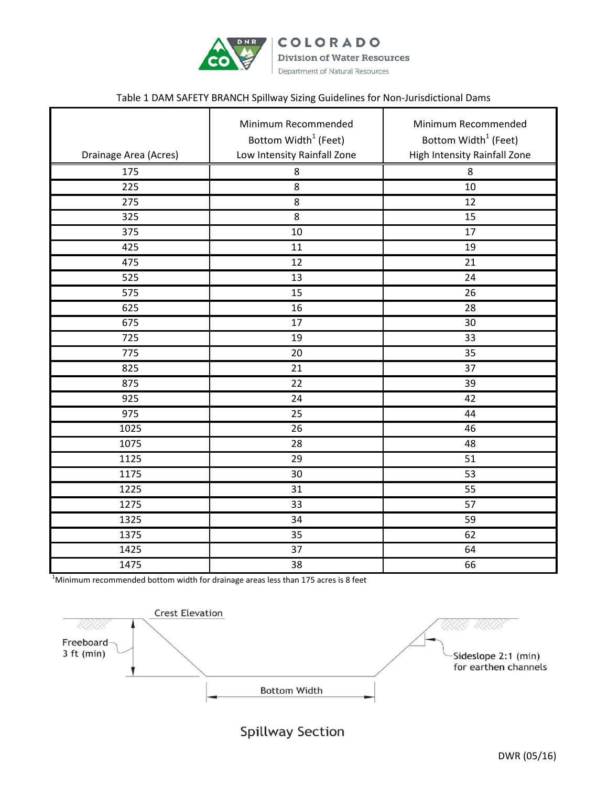

COLORADO **Division of Water Resources** Department of Natural Resources

## Table 1 DAM SAFETY BRANCH Spillway Sizing Guidelines for Non-Jurisdictional Dams

| Drainage Area (Acres) | Minimum Recommended<br>Bottom Width <sup>1</sup> (Feet)<br>Low Intensity Rainfall Zone | Minimum Recommended<br>Bottom Width <sup>1</sup> (Feet)<br>High Intensity Rainfall Zone |
|-----------------------|----------------------------------------------------------------------------------------|-----------------------------------------------------------------------------------------|
| 175                   | 8                                                                                      | 8                                                                                       |
| 225                   | 8                                                                                      | 10                                                                                      |
| 275                   | 8                                                                                      | 12                                                                                      |
| 325                   | 8                                                                                      | 15                                                                                      |
| $\overline{375}$      | 10                                                                                     | 17                                                                                      |
| 425                   | 11                                                                                     | 19                                                                                      |
| 475                   | 12                                                                                     | 21                                                                                      |
| 525                   | 13                                                                                     | 24                                                                                      |
| 575                   | 15                                                                                     | 26                                                                                      |
| 625                   | 16                                                                                     | 28                                                                                      |
| 675                   | 17                                                                                     | 30                                                                                      |
| 725                   | 19                                                                                     | 33                                                                                      |
| 775                   | 20                                                                                     | 35                                                                                      |
| 825                   | 21                                                                                     | $\overline{37}$                                                                         |
| 875                   | 22                                                                                     | 39                                                                                      |
| $\overline{925}$      | 24                                                                                     | $\overline{42}$                                                                         |
| 975                   | 25                                                                                     | 44                                                                                      |
| 1025                  | 26                                                                                     | 46                                                                                      |
| 1075                  | 28                                                                                     | 48                                                                                      |
| 1125                  | 29                                                                                     | 51                                                                                      |
| 1175                  | 30                                                                                     | $\overline{53}$                                                                         |
| 1225                  | 31                                                                                     | 55                                                                                      |
| 1275                  | 33                                                                                     | 57                                                                                      |
| 1325                  | $\overline{34}$                                                                        | 59                                                                                      |
| 1375                  | 35                                                                                     | 62                                                                                      |
| 1425                  | 37                                                                                     | 64                                                                                      |
| 1475                  | 38                                                                                     | 66                                                                                      |

 $^1$ Minimum recommended bottom width for drainage areas less than 175 acres is 8 feet



Spillway Section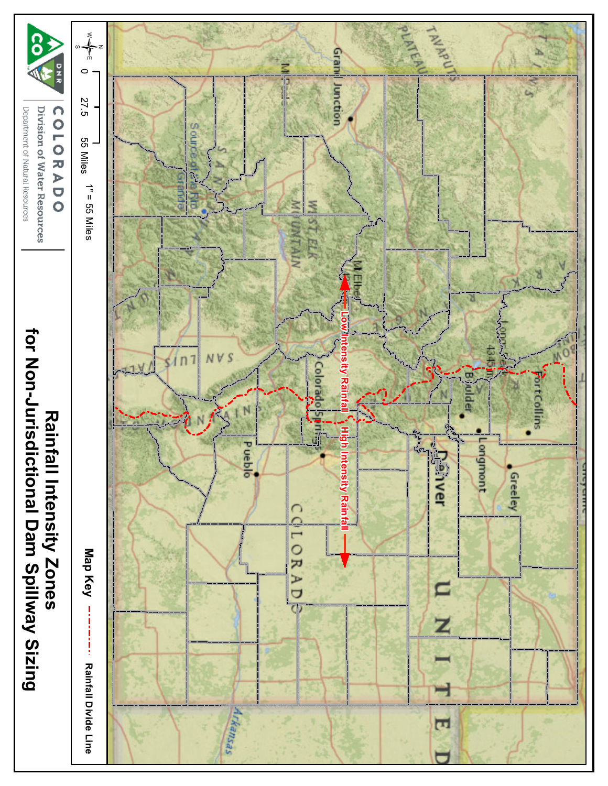